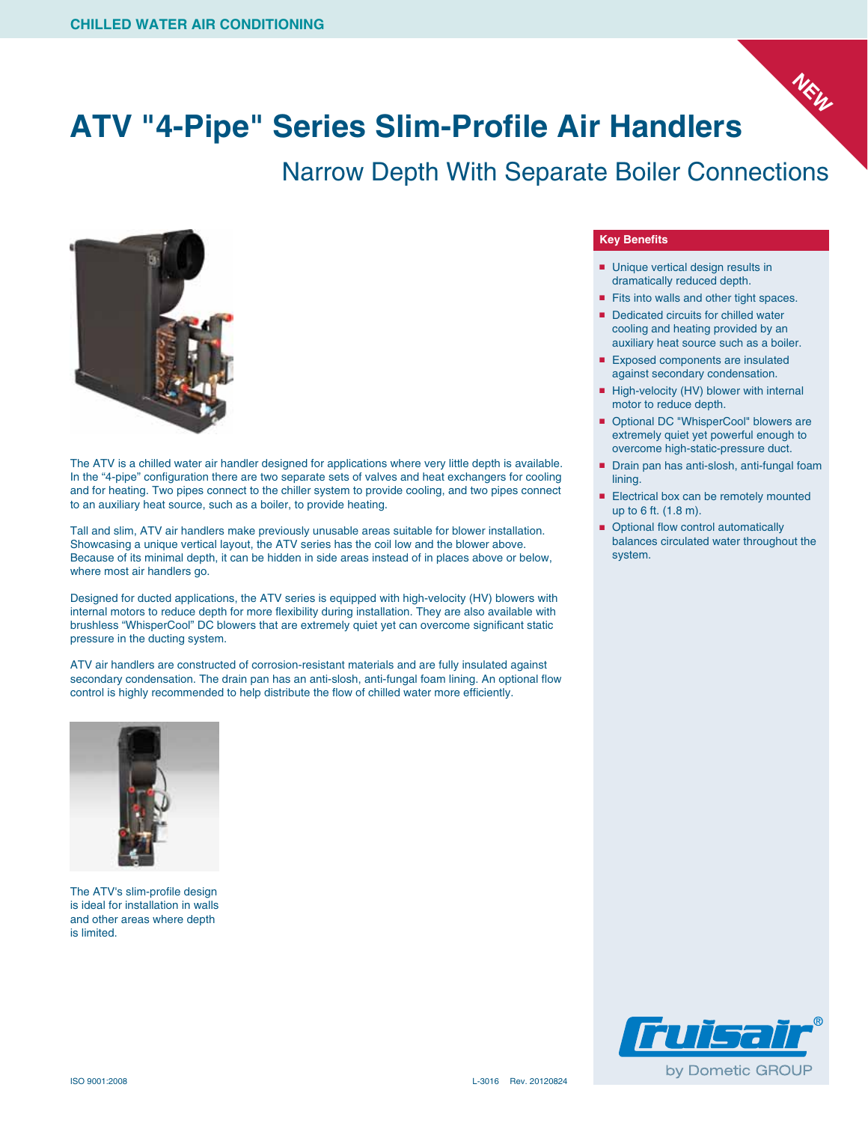

## **ATV "4-Pipe" Series Slim-Profile Air Handlers**

Narrow Depth With Separate Boiler Connections



The ATV is a chilled water air handler designed for applications where very little depth is available. In the "4-pipe" configuration there are two separate sets of valves and heat exchangers for cooling and for heating. Two pipes connect to the chiller system to provide cooling, and two pipes connect to an auxiliary heat source, such as a boiler, to provide heating.

Tall and slim, ATV air handlers make previously unusable areas suitable for blower installation. Showcasing a unique vertical layout, the ATV series has the coil low and the blower above. Because of its minimal depth, it can be hidden in side areas instead of in places above or below, where most air handlers go.

Designed for ducted applications, the ATV series is equipped with high-velocity (HV) blowers with internal motors to reduce depth for more flexibility during installation. They are also available with brushless "WhisperCool" DC blowers that are extremely quiet yet can overcome significant static pressure in the ducting system.

ATV air handlers are constructed of corrosion-resistant materials and are fully insulated against secondary condensation. The drain pan has an anti-slosh, anti-fungal foam lining. An optional flow control is highly recommended to help distribute the flow of chilled water more efficiently.



The ATV's slim-profile design is ideal for installation in walls and other areas where depth is limited.

## **Key Benefits**

- Unique vertical design results in dramatically reduced depth.
- Fits into walls and other tight spaces.
- Dedicated circuits for chilled water cooling and heating provided by an auxiliary heat source such as a boiler.
- Exposed components are insulated against secondary condensation.
- High-velocity (HV) blower with internal motor to reduce depth.
- Optional DC "WhisperCool" blowers are extremely quiet yet powerful enough to overcome high-static-pressure duct.
- Drain pan has anti-slosh, anti-fungal foam lining.
- Electrical box can be remotely mounted up to 6 ft. (1.8 m).
- Optional flow control automatically balances circulated water throughout the system.